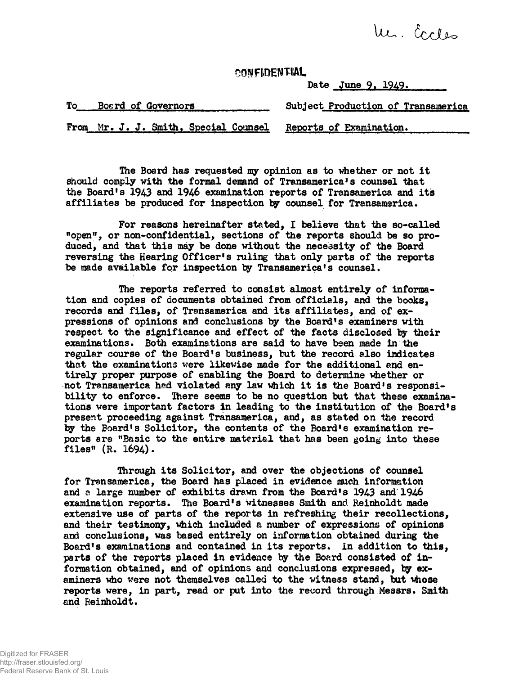Mr. Eccles

**CONFIDENTIAL** 

Date June 9, 1949.

| To | Board of Governors                    | Subject Production of Transamerica |
|----|---------------------------------------|------------------------------------|
|    | From Mr. J. J. Smith, Special Counsel | Reports of Examination.            |

The Board has requested my opinion as to whether or not it should comply with the formal demand of Transamerica's counsel that the Board's 1943 and 1946 examination reports of Transamerica and its affiliates be produced for inspection by counsel for Transamerica.

For reasons hereinafter stated, I believe that the so-called "open", or non-confidential, sections of the reports should be so produced, and that this may be done without the necessity of the Board reversing the Hearing Officer's ruling that only parts of the reports be made available for inspection by Transamerica's counsel.

The reports referred to consist almost entirely of information and copies of documents obtained from officials, and the books, records and files, of Transamerica and its affiliates, and of expressions of opinions and conclusions by the Board's examiners with respect to the significance and effect of the facts disclosed by their examinations. Both examinations are said to have been made in the regular course of the Board's business, but the record also indicates that the examinations were likewise made for the additional and entirely proper purpose of enabling the Board to determine whether or not Transamerica had violated any law which it is the Board's responsibility to enforce. There seems to be no question but that these examinations were important factors in leading to the institution of the Board's present proceeding against Transamerica, and, as stated on the record by the Board's Solicitor, the contents of the Board's examination reports are "Basic to the entire material that has been going into these files"  $(R. 1694)$ .

Through its Solicitor, and over the objections of counsel for Transamerica, the Board has placed in evidence much information and a large number of exhibits drawn from the Board's 1943 and 1946 examination reports . The Board's witnesses Smith and Reinholdt made extensive use of parts of the reports in refreshing their recollections, and their testimony, which included a number of expressions of opinions and conclusions, was based entirely on information obtained during the Board's examinations and contained in its reports. In addition to this, parts of the reports placed in evidence by the Board consisted of information obtained, and of opinions and conclusions expressed, by examiners who were not themselves called to the witness stand, but whose reports were, in part, read or put into the record through Messrs. Smith and Reinholdt.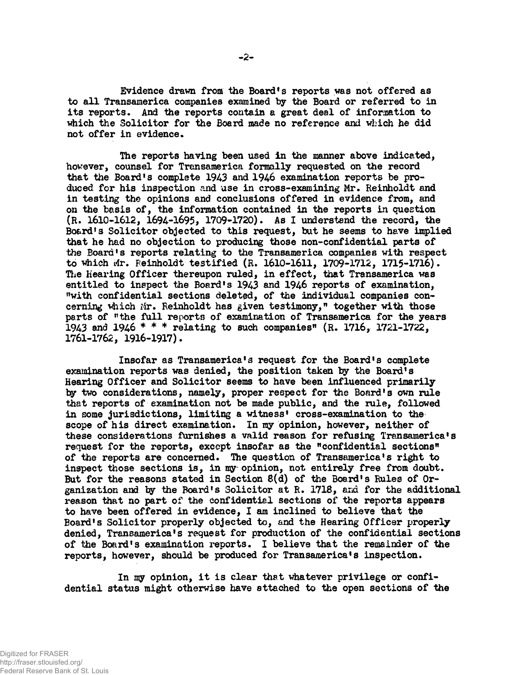Evidence drawn from the Boardfs reports was not offered as to all Transamerica companies examined by the Board or referred to in its reports. And the reports contain a great deal of information to which the Solicitor for the Board made no reference and which he did not offer in evidence.

The reports having been used in the manner above indicated, however, counsel for Transamerica formally requested on the record that the Board's complete 1943 and 1946 examination reports be produced for his inspection and use in cross-examining Mr. Reinholdt and in testing the opinions and conclusions offered in evidence from, and on the basis of, the information contained in the reports in question (R. 1610-1612, 1694-1695, 1709-1720). As I understand the record, the Board's Solicitor objected to this request, but he seems to have implied that he had no objection to producing those non-confidential parts of the Board's reports relating to the Transamerica companies with respect to which Mr. Reinholdt testified (R. 1610-1611, 1709-1712, 1715-1716). The Hearing Officer thereupon ruled, in effect, that Transamerica was entitled to inspect the Board's 1943 and 1946 reports of examination, "with confidential sections deleted, of the individual companies concerning which Mr. Reinholdt has given testimony," together with those parts of "the full reports of examination of Transamerica for the years 1943 and 1946 \* \* \* relating to such companies"  $(R. 1716, 1721-1722, )$ 1761-1762, 1916-1917)•

Insofar as Transamerica's request for the Board's complete examination reports was denied, the position taken by the Board's Hearing Officer and Solicitor seems to have been influenced primarily by two considerations, namely, proper respect for the Board's own rule that reports of examination not be made public, and the rule, followed in some jurisdictions, limiting a witness' cross-examination to the scope of his direct examination. In my opinion, however, neither of these considerations furnishes a valid reason for refusing Transamerica's request for the reports, except insofar as the "confidential sections" of the reports are concerned. The question of Transamerica's right to inspect those sections is, in my opinion, not entirely free from doubt. But for the reasons stated in Section 8(d) of the Board's Rules of Organization and by the Board's Solicitor at R. 1718, and for the additional reason that no part of the confidential sections of the reports appears to have been offered in evidence, I am inclined to believe that the Board's Solicitor properly objected to, and the Hearing Officer properly denied, Transamerica's request for production of the confidential sections of the Board's examination reports. I believe that the remainder of the reports, however, should be produced for Transamerica's inspection.

In my opinion, it is clear that whatever privilege or confidential status might otherwise have attached to the open sections of the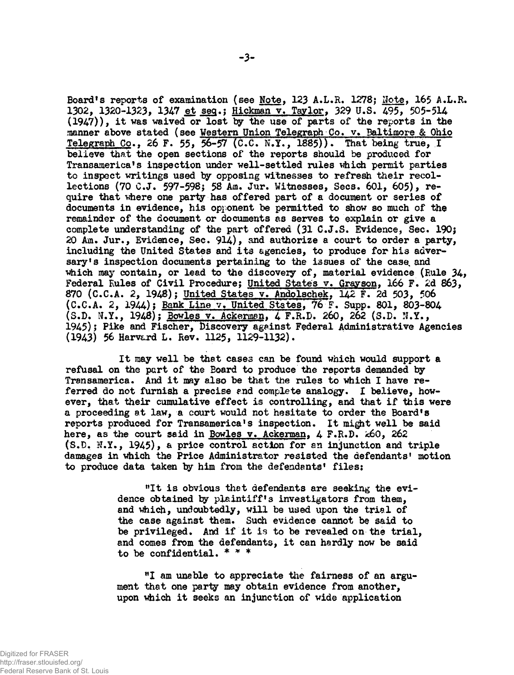Board's reports of examination (see Note, 123 A.L.R. 1278; Note, 165 A.L.R. 1302, 1320-1323, 1347 et seq.; Hickman v. Taylor, 329 U.S. 495, 505-514  $(1947)$ ), it was waived or lost by the use of parts of the reports in the manner above stated (see Western Union Telegraph Co. v. Baltimore & Ohio Telegraph Co., 26 F. 55, 56-57 (C.C. N.Y., 1885)). That being true, I believe that the open sections of the reports should be produced for Transamerica's inspection under well-settled rules which permit parties to inspect writings used by opposing witnesses to refresh their recollections (70 C.J. 597-598} 58 Am. Jur. Witnesses, Sees. 601, 605), require that where one party has offered part of a document or series of documents in evidence, his opponent be permitted to show so much of the remainder of the document or documents as serves to explain or give a complete understanding of the part offered (31 C.J.S. Evidence, Sec. 190} 20 Am. Jur. , Evidence, Sec. 914), and authorize a court to order a party, including the United States and its agencies, to produce for his adversary's inspection documents pertaining to the issues of the case and which may contain, or lead to the discovery of, material evidence (Rule  $34$ , Federal Rules of Civil Procedure; United States v. Grayson, 166 F. 2d 863, 870 (C.C.A. 2, 1948); United States v. Andolschek, 142 F. 2d 503, 506  $(C.C.A. 2, 1944)$ ; Bank Line v. United States, 76 F. Supp. 801, 803-804 (S.D. N.Y., 1948); Bowles v. Ackerman, 4 F.R.D. 260, 262 (S.D. N.Y., 1945)} Pike and Fischer, Discovery against Federal Administrative Agencies (1943) 56 Harvard L. Rev. 1125, 1129-1132).

It may well be that cases can be found which would support a refusal on the part of the Board to produce the reports demanded by Transamerica. And it may also be that the rules to which I have referred do not furnish a precise end complete analogy. I believe, however, that their cumulative effect is controlling, and that if this were a proceeding at law, a court would not hesitate to order the Board1s reports produced for Transamerica's inspection. It might well be said here, as the court said in Bowles v. Ackerman,  $4$  F.R.D.  $\approx$ 60, 262  $(S.D. N.Y., 1945)$ , a price control action for an injunction and triple damages in which the Price Administrator resisted the defendants' motion to produce data taken by him from the defendants' files:

> "It is obvious that defendants are seeking the evidence obtained by plaintiff's investigators from them, and which, undoubtedly, will be used upon the trial of the case against them. Such evidence cannot be said to be privileged. And if it is to be revealed on the trial, and comes from the defendants, it can hardly now be said to be confidential. \* \* \*

"I am unable to appreciate the fairness of an argument that one party may obtain evidence from another, upon which it seeks an injunction of wide application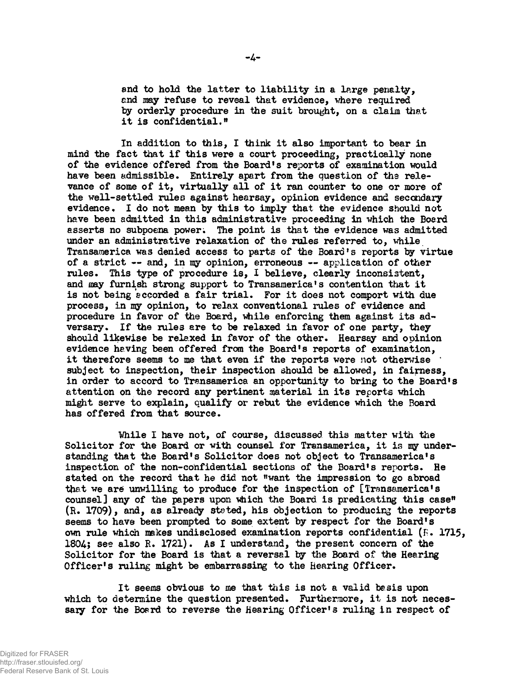and to hold the latter to liability in a large penalty, **and may refuse to reveal that evidence, where required**  by orderly procedure in the suit brought, on a claim that **i t i s confidential."** 

**I n addition to this , I think i t also important to bear i n mind the fac t that i f thi s were a court proceeding, practicall y none of the evidence offered from the Board's reports of examination would have been admissible. Entirel y apart from the question of the rele**  vance of some of it, virtually all of it ran counter to one or more of the well-settled rules against hearsay, opinion evidence and secondary evidence. I do not mean by this to imply that the evidence should not **have been admitted i n thi s administrative proceeding i n which the Board**  asserts no subpoena power. The point is that the evidence was admitted **under an administrative relaxation of the rules referred to, while Transamerica was denied access to parts of the Board's reports by virtue of a stric t — and, i n my opinion, erroneous — application of other rules . This type of procedure is , I believe, clearl y inconsistent, and may furnish strong support to Transamerica1s contention that i t i s not being accorded a fai r trial . For i t does not comport with due process, i n my opinion, t o relax conventional rules of evidence and procedure i n favor of the Board, 'while enforcing them against it s adversary. I f the rules are to be relaxed i n favor of one party , they**  should likewise be relaxed in favor of the other. Hearsay and opinion **evidence having been offered from the Board's reports of examination,**  it therefore seems to me that even if the reports were not otherwise **subject to inspection, their inspection should be allowed, i n fairness , i n order to accord to Transamerica an opportunity to bring to the Board's**  attention on the record any pertinent material in its reports which **might serve t o explain, qualif y or rebut the evidence which the Board has offered from that source.** 

While I have not, of course, discussed this matter with the Solicitor for the Board or with counsel for Transamerica, it is my under**standing tha t the Board's Solicito r does not object to Transamerica's inspection of the non-confidential sections of the Board's reports . He stated on the record that he did not "want the impression to go abroad that we are unwilling to produce for the inspection of [Transamerica's counsel] any of the papers upon vhich the Board i s predicating thi s case" (R.** 1709), **and, as already stated, hi s objection to producing the reports**  seems to have been prompted to some extent by respect for the Board's **own rule which makes undisclosed examination reports confidential (P.** 1715, 1804; **see also R.** 1721). **As I understand, the present concern of the**  Solicitor for the Board is that a reversal by the Board of the Hearing **Officer' s rulin g might be embarrassing to the Bearing Officer.** 

It seems obvious to me that this is not a valid basis upon which to determine the question presented. Furthermore, it is not neces**saiy fo r the Board to reverse the Hearing Officer' s rulin g i n respect of**